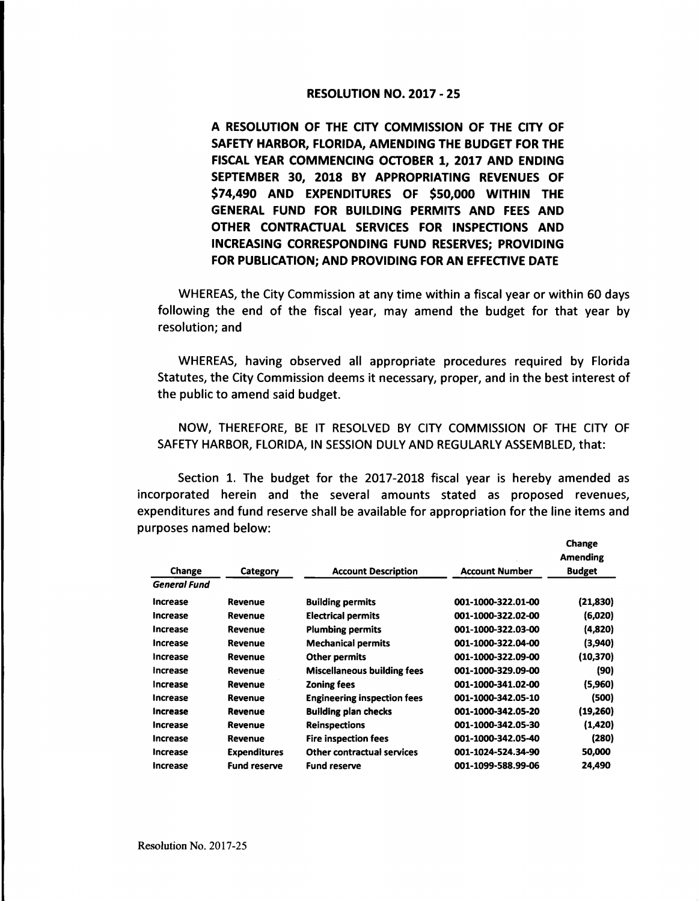## RESOLUTION NO. 2017-25

**A RESOLUTION OF THE CITY COMMISSION OF THE CITY OF SAFETY HARBOR, FLORIDA, AMENDING THE BUDGET FOR THE FISCAL YEAR COMMENCING OCTOBER 1,** 2017 **AND ENDING SEPTEMBER 30, 2018 BY APPROPRIATING REVENUES OF \$74,490 AND EXPENDITURES OF \$50,000 WITHIN THE GENERAL FUND FOR BUILDING PERMITS AND FEES AND OTHER CONTRACTUAL SERVICES FOR INSPECTIONS AND INCREASING CORRESPONDING FUND RESERVES; PROVIDING FOR PUBLICATION; AND PROVIDING FOR AN EFFECTIVE DATE** 

WHEREAS, the City Commission at any time within a fiscal year or within 60 days following the end of the fiscal year, may amend the budget for that year by resolution; and

WHEREAS, having observed all appropriate procedures required by Florida Statutes, the City Commission deems it necessary, proper, and in the best interest of the public to amend said budget.

NOW, THEREFORE, BE IT RESOLVED BY CITY COMMISSION OF THE CITY OF SAFETY HARBOR, FLORIDA, IN SESSION DULY AND REGULARLY ASSEMBLED, that:

Section 1. The budget for the 2017-2018 fiscal year is hereby amended as incorporated herein and the several amounts stated as proposed revenues, expenditures and fund reserve shall be available for appropriation for the line items and purposes named below:

**Change** 

| Change          | Category            | <b>Account Description</b>         | <b>Account Number</b> | <b>Amending</b><br><b>Budget</b> |
|-----------------|---------------------|------------------------------------|-----------------------|----------------------------------|
| General Fund    |                     |                                    |                       |                                  |
| <b>Increase</b> | Revenue             | <b>Building permits</b>            | 001-1000-322.01-00    | (21, 830)                        |
| <b>Increase</b> | Revenue             | <b>Electrical permits</b>          | 001-1000-322.02-00    | (6,020)                          |
| Increase        | Revenue             | <b>Plumbing permits</b>            | 001-1000-322.03-00    | (4,820)                          |
| <b>Increase</b> | Revenue             | <b>Mechanical permits</b>          | 001-1000-322.04-00    | (3,940)                          |
| Increase        | Revenue             | <b>Other permits</b>               | 001-1000-322.09-00    | (10, 370)                        |
| Increase        | <b>Revenue</b>      | <b>Miscellaneous building fees</b> | 001-1000-329.09-00    | (90)                             |
| Increase        | Revenue             | <b>Zoning fees</b>                 | 001-1000-341.02-00    | (5,960)                          |
| Increase        | Revenue             | <b>Engineering inspection fees</b> | 001-1000-342.05-10    | (500)                            |
| <b>Increase</b> | Revenue             | <b>Building plan checks</b>        | 001-1000-342.05-20    | (19,260)                         |
| Increase        | Revenue             | <b>Reinspections</b>               | 001-1000-342.05-30    | (1,420)                          |
| Increase        | <b>Revenue</b>      | <b>Fire inspection fees</b>        | 001-1000-342.05-40    | (280)                            |
| <b>Increase</b> | <b>Expenditures</b> | <b>Other contractual services</b>  | 001-1024-524.34-90    | 50,000                           |
| Increase        | <b>Fund reserve</b> | <b>Fund reserve</b>                | 001-1099-588.99-06    | 24,490                           |